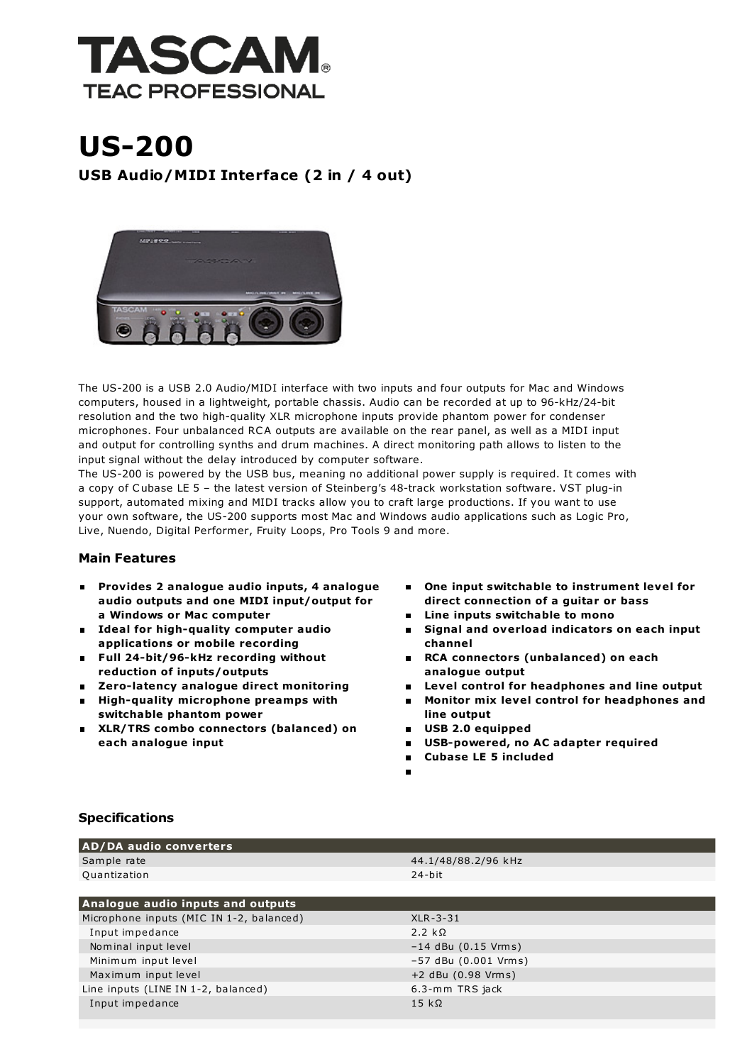

## US-200 USB Audio/MIDI Interface (2 in / 4 out)



The US-200 is a USB 2.0 Audio/MIDI interface with two inputs and four outputs for Mac and Windows computers, housed in a lightweight, portable chassis. Audio can be recorded at up to 96-kHz/24-bit resolution and the two high-quality XLR microphone inputs provide phantom power for condenser microphones. Four unbalanced RCA outputs are available on the rear panel, as well as a MIDI input and output for controlling synths and drum machines. A direct monitoring path allows to listen to the input signal without the delay introduced by computer software.

The US-200 is powered by the USB bus, meaning no additional power supply is required. It comes with a copy of Cubase LE 5 – the latest version of Steinberg's 48-track workstation software. VST plug-in support, automated mixing and MIDI tracks allow you to craft large productions. If you want to use your own software, the US-200 supports most Mac and Windows audio applications such as Logic Pro, Live, Nuendo, Digital Performer, Fruity Loops, Pro Tools 9 and more.

## Main Features

- Provides 2 analogue audio inputs, 4 analogue audio outputs and one MIDI input/output for a Windows or Mac computer
- **Ideal for high-quality computer audio** applications or mobile recording
- Full 24-bit/96-kHz recording without reduction of inputs/outputs
- Zero-latency analogue direct monitoring
- **High-quality microphone preamps with** switchable phantom power
- XLR/TRS combo connectors (balanced) on each analogue input
- One input switchable to instrument level for  $\blacksquare$ direct connection of a guitar or bass
- **E** Line inputs switchable to mono
- Signal and overload indicators on each input channel
- RCA connectors (unbalanced) on each analogue output
- Level control for headphones and line output
- Monitor mix level control for headphones and line output
	- USB 2.0 equipped
	- USB-powered, no AC adapter required  $\blacksquare$
	- Cubase LE 5 included  $\blacksquare$
	-

## Specifications

| <b>AD/DA audio converters</b>            |                        |
|------------------------------------------|------------------------|
| Sample rate                              | 44.1/48/88.2/96 kHz    |
| Quantization                             | $24$ -bit              |
|                                          |                        |
| Analogue audio inputs and outputs        |                        |
| Microphone inputs (MIC IN 1-2, balanced) | $XLR - 3 - 31$         |
| Input impedance                          | 2.2 $k\Omega$          |
| Nominal input level                      | $-14$ dBu (0.15 Vrms)  |
| Minimum input level                      | $-57$ dBu (0.001 Vrms) |
| Maximum input level                      | +2 dBu (0.98 Vrms)     |
| Line inputs (LINE IN 1-2, balanced)      | 6.3-mm TRS jack        |
| Input impedance                          | $15 k\Omega$           |
|                                          |                        |